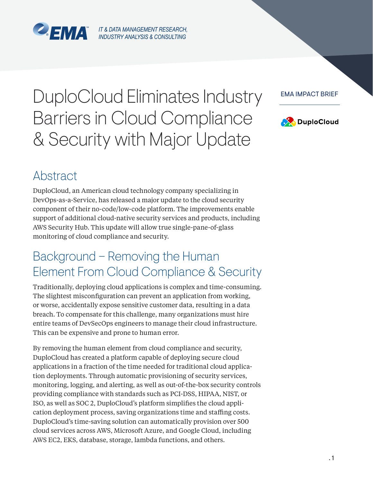

# DuploCloud Eliminates Industry Barriers in Cloud Compliance & Security with Major Update





### Abstract

DuploCloud, an American cloud technology company specializing in DevOps-as-a-Service, has released a major update to the cloud security component of their no-code/low-code platform. The improvements enable support of additional cloud-native security services and products, including AWS Security Hub. This update will allow true single-pane-of-glass monitoring of cloud compliance and security.

## Background – Removing the Human Element From Cloud Compliance & Security

Traditionally, deploying cloud applications is complex and time-consuming. The slightest misconfiguration can prevent an application from working, or worse, accidentally expose sensitive customer data, resulting in a data breach. To compensate for this challenge, many organizations must hire entire teams of DevSecOps engineers to manage their cloud infrastructure. This can be expensive and prone to human error.

By removing the human element from cloud compliance and security, DuploCloud has created a platform capable of deploying secure cloud applications in a fraction of the time needed for traditional cloud application deployments. Through automatic provisioning of security services, monitoring, logging, and alerting, as well as out-of-the-box security controls providing compliance with standards such as PCI-DSS, HIPAA, NIST, or ISO, as well as SOC 2, DuploCloud's platform simplifies the cloud application deployment process, saving organizations time and staffing costs. DuploCloud's time-saving solution can automatically provision over 500 cloud services across AWS, Microsoft Azure, and Google Cloud, including AWS EC2, EKS, database, storage, lambda functions, and others.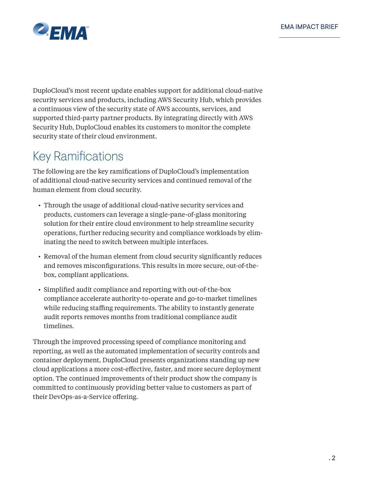

DuploCloud's most recent update enables support for additional cloud-native security services and products, including AWS Security Hub, which provides a continuous view of the security state of AWS accounts, services, and supported third-party partner products. By integrating directly with AWS Security Hub, DuploCloud enables its customers to monitor the complete security state of their cloud environment.

### Key Ramifications

The following are the key ramifications of DuploCloud's implementation of additional cloud-native security services and continued removal of the human element from cloud security.

- Through the usage of additional cloud-native security services and products, customers can leverage a single-pane-of-glass monitoring solution for their entire cloud environment to help streamline security operations, further reducing security and compliance workloads by eliminating the need to switch between multiple interfaces.
- Removal of the human element from cloud security significantly reduces and removes misconfigurations. This results in more secure, out-of-thebox, compliant applications.
- Simplified audit compliance and reporting with out-of-the-box compliance accelerate authority-to-operate and go-to-market timelines while reducing staffing requirements. The ability to instantly generate audit reports removes months from traditional compliance audit timelines.

Through the improved processing speed of compliance monitoring and reporting, as well as the automated implementation of security controls and container deployment, DuploCloud presents organizations standing up new cloud applications a more cost-effective, faster, and more secure deployment option. The continued improvements of their product show the company is committed to continuously providing better value to customers as part of their DevOps-as-a-Service offering.